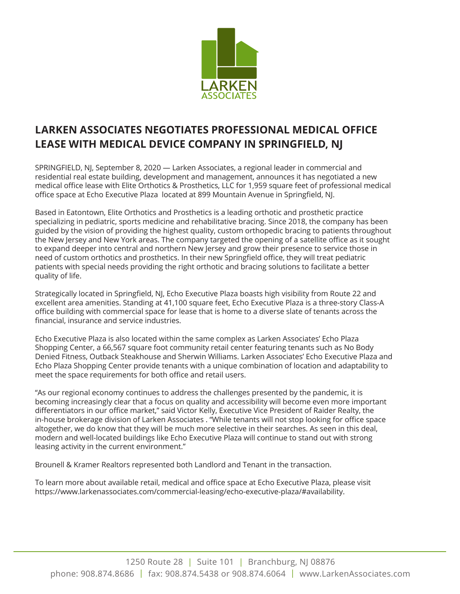

## **LARKEN ASSOCIATES NEGOTIATES PROFESSIONAL MEDICAL OFFICE LEASE WITH MEDICAL DEVICE COMPANY IN SPRINGFIELD, NJ**

SPRINGFIELD, NJ, September 8, 2020 — Larken Associates, a regional leader in commercial and residential real estate building, development and management, announces it has negotiated a new medical office lease with Elite Orthotics & Prosthetics, LLC for 1,959 square feet of professional medical office space at Echo Executive Plaza located at 899 Mountain Avenue in Springfield, NJ.

Based in Eatontown, Elite Orthotics and Prosthetics is a leading orthotic and prosthetic practice specializing in pediatric, sports medicine and rehabilitative bracing. Since 2018, the company has been guided by the vision of providing the highest quality, custom orthopedic bracing to patients throughout the New Jersey and New York areas. The company targeted the opening of a satellite office as it sought to expand deeper into central and northern New Jersey and grow their presence to service those in need of custom orthotics and prosthetics. In their new Springfield office, they will treat pediatric patients with special needs providing the right orthotic and bracing solutions to facilitate a better quality of life.

Strategically located in Springfield, NJ, Echo Executive Plaza boasts high visibility from Route 22 and excellent area amenities. Standing at 41,100 square feet, Echo Executive Plaza is a three-story Class-A office building with commercial space for lease that is home to a diverse slate of tenants across the financial, insurance and service industries.

Echo Executive Plaza is also located within the same complex as Larken Associates' Echo Plaza Shopping Center, a 66,567 square foot community retail center featuring tenants such as No Body Denied Fitness, Outback Steakhouse and Sherwin Williams. Larken Associates' Echo Executive Plaza and Echo Plaza Shopping Center provide tenants with a unique combination of location and adaptability to meet the space requirements for both office and retail users.

"As our regional economy continues to address the challenges presented by the pandemic, it is becoming increasingly clear that a focus on quality and accessibility will become even more important differentiators in our office market," said Victor Kelly, Executive Vice President of Raider Realty, the in-house brokerage division of Larken Associates . "While tenants will not stop looking for office space altogether, we do know that they will be much more selective in their searches. As seen in this deal, modern and well-located buildings like Echo Executive Plaza will continue to stand out with strong leasing activity in the current environment."

Brounell & Kramer Realtors represented both Landlord and Tenant in the transaction.

To learn more about available retail, medical and office space at Echo Executive Plaza, please visit https://www.larkenassociates.com/commercial-leasing/echo-executive-plaza/#availability.